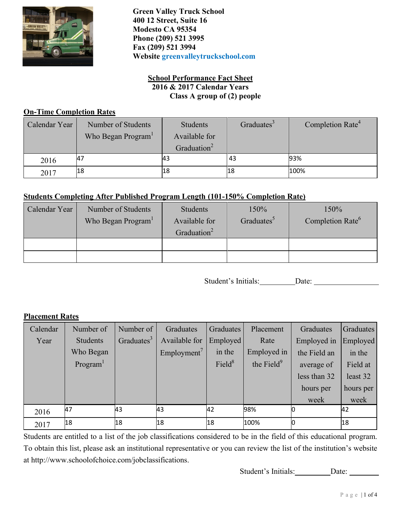

**Green Valley Truck School 400 12 Street, Suite 16 Modesto CA 95354 Phone (209) 521 3995 Fax (209) 521 3994 Website greenvalleytruckschool.com**

## **School Performance Fact Sheet 2016 & 2017 Calendar Years Class A group of (2) people**

#### **On-Time Completion Rates**

| Calendar Year | Number of Students             | Students                | Graduates <sup>3</sup> | Completion Rate <sup>4</sup> |
|---------------|--------------------------------|-------------------------|------------------------|------------------------------|
|               | Who Began Program <sup>1</sup> | Available for           |                        |                              |
|               |                                | Graduation <sup>2</sup> |                        |                              |
| 2016          | 47                             | 43                      | . 43                   | 93%                          |
| 2017          | 18                             | 18                      | l18                    | 100%                         |

# **Students Completing After Published Program Length (101-150% Completion Rate)**

| Calendar Year | Number of Students             | Students                                 | 150%                   | 150%                         |
|---------------|--------------------------------|------------------------------------------|------------------------|------------------------------|
|               | Who Began Program <sup>1</sup> | Available for<br>Graduation <sup>2</sup> | Graduates <sup>5</sup> | Completion Rate <sup>6</sup> |
|               |                                |                                          |                        |                              |
|               |                                |                                          |                        |                              |

Student's Initials: Date:

## **Placement Rates**

| Calendar | Number of | Number of              | Graduates               | <b>Graduates</b>   | Placement              | Graduates    | Graduates |
|----------|-----------|------------------------|-------------------------|--------------------|------------------------|--------------|-----------|
| Year     | Students  | Graduates <sup>3</sup> | Available for           | Employed           | Rate                   | Employed in  | Employed  |
|          | Who Began |                        | Employment <sup>7</sup> | in the             | Employed in            | the Field an | in the    |
|          | Program   |                        |                         | Field <sup>8</sup> | the Field <sup>9</sup> | average of   | Field at  |
|          |           |                        |                         |                    |                        | less than 32 | least 32  |
|          |           |                        |                         |                    |                        | hours per    | hours per |
|          |           |                        |                         |                    |                        | week         | week      |
| 2016     | 47        | 43                     | 43                      | 42                 | 98%                    |              | 42        |
| 2017     | 18        | 18                     | 18                      | 18                 | 100%                   |              | 18        |

Students are entitled to a list of the job classifications considered to be in the field of this educational program. To obtain this list, please ask an institutional representative or you can review the list of the institution's website at [http://www.schoolofchoice.com/jobclassifications.](http://www.schoolofchoice.com/jobclassifications)

Student's Initials: Date: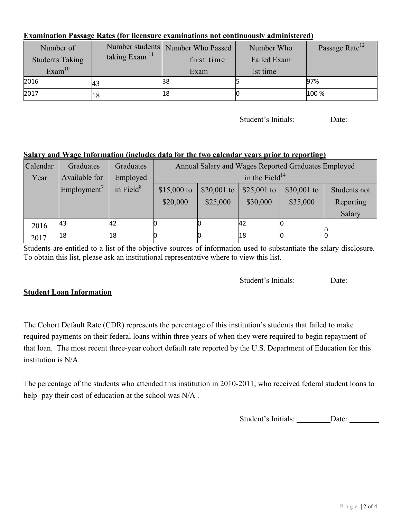#### **Examination Passage Rates (for licensure examinations not continuously administered)**

| Number of              |                           | Number students Number Who Passed | Number Who  | Passage Rate <sup>12</sup> |
|------------------------|---------------------------|-----------------------------------|-------------|----------------------------|
| <b>Students Taking</b> | taking Exam <sup>11</sup> | first time                        | Failed Exam |                            |
| Exam <sup>10</sup>     |                           | Exam                              | 1st time    |                            |
| 2016                   |                           | 38                                |             | 97%                        |
| 2017                   |                           | 18                                |             | 100 %                      |

Student's Initials: Date:

## **Salary and Wage Information (includes data for the two calendar years prior to reporting)**

| Calendar | Graduates               | Graduates    | Annual Salary and Wages Reported Graduates Employed |             |             |             |              |  |
|----------|-------------------------|--------------|-----------------------------------------------------|-------------|-------------|-------------|--------------|--|
| Year     | Available for           | Employed     | in the Field <sup>14</sup>                          |             |             |             |              |  |
|          | Employment <sup>7</sup> | in Field $8$ | $$15,000$ to                                        | \$20,001 to | \$25,001 to | \$30,001 to | Students not |  |
|          |                         |              | \$20,000                                            | \$25,000    | \$30,000    | \$35,000    | Reporting    |  |
|          |                         |              |                                                     |             |             |             | Salary       |  |
| 2016     | 43                      | 42           |                                                     |             | 42          |             |              |  |
| 2017     | 18                      | 18           |                                                     |             | 18          |             |              |  |

Students are entitled to a list of the objective sources of information used to substantiate the salary disclosure. To obtain this list, please ask an institutional representative where to view this list.

Student's Initials: Date:

## **Student Loan Information**

The Cohort Default Rate (CDR) represents the percentage of this institution's students that failed to make required payments on their federal loans within three years of when they were required to begin repayment of that loan. The most recent three-year cohort default rate reported by the U.S. Department of Education for this institution is N/A.

The percentage of the students who attended this institution in 2010-2011, who received federal student loans to help pay their cost of education at the school was N/A.

Student's Initials: \_\_\_\_\_\_\_\_\_ Date: \_\_\_\_\_\_\_\_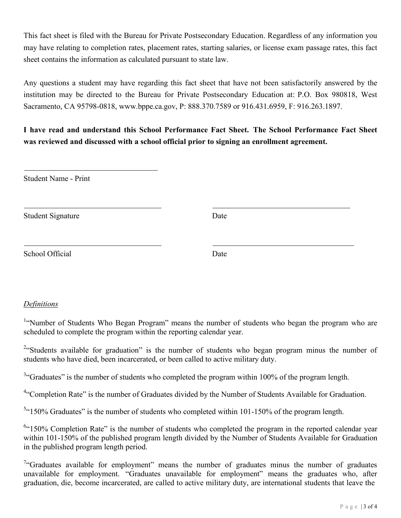This fact sheet is filed with the Bureau for Private Postsecondary Education. Regardless of any information you may have relating to completion rates, placement rates, starting salaries, or license exam passage rates, this fact sheet contains the information as calculated pursuant to state law.

Any questions a student may have regarding this fact sheet that have not been satisfactorily answered by the institution may be directed to the Bureau for Private Postsecondary Education at: P.O. Box 980818, West Sacramento, CA 95798-[0818, www.bppe.ca.gov,](http://www.bppe.ca.gov/) P: 888.370.7589 or 916.431.6959, F: 916.263.1897.

**I have read and understand this School Performance Fact Sheet. The School Performance Fact Sheet was reviewed and discussed with a school official prior to signing an enrollment agreement.**

Student Signature Date

School Official Date

## *Definitions*

<sup>1.</sup>'Number of Students Who Began Program" means the number of students who began the program who are scheduled to complete the program within the reporting calendar year.

<sup>2</sup> Students available for graduation" is the number of students who began program minus the number of students who have died, been incarcerated, or been called to active military duty.

 $3$ "Graduates" is the number of students who completed the program within 100% of the program length.

<sup>4</sup>"Completion Rate" is the number of Graduates divided by the Number of Students Available for Graduation.

 $5$ <sup>4</sup>150% Graduates" is the number of students who completed within 101-150% of the program length.

<sup>6</sup>"150% Completion Rate" is the number of students who completed the program in the reported calendar year within 101-150% of the published program length divided by the Number of Students Available for Graduation in the published program length period.

<sup>7</sup>"Graduates available for employment" means the number of graduates minus the number of graduates unavailable for employment. "Graduates unavailable for employment" means the graduates who, after graduation, die, become incarcerated, are called to active military duty, are international students that leave the